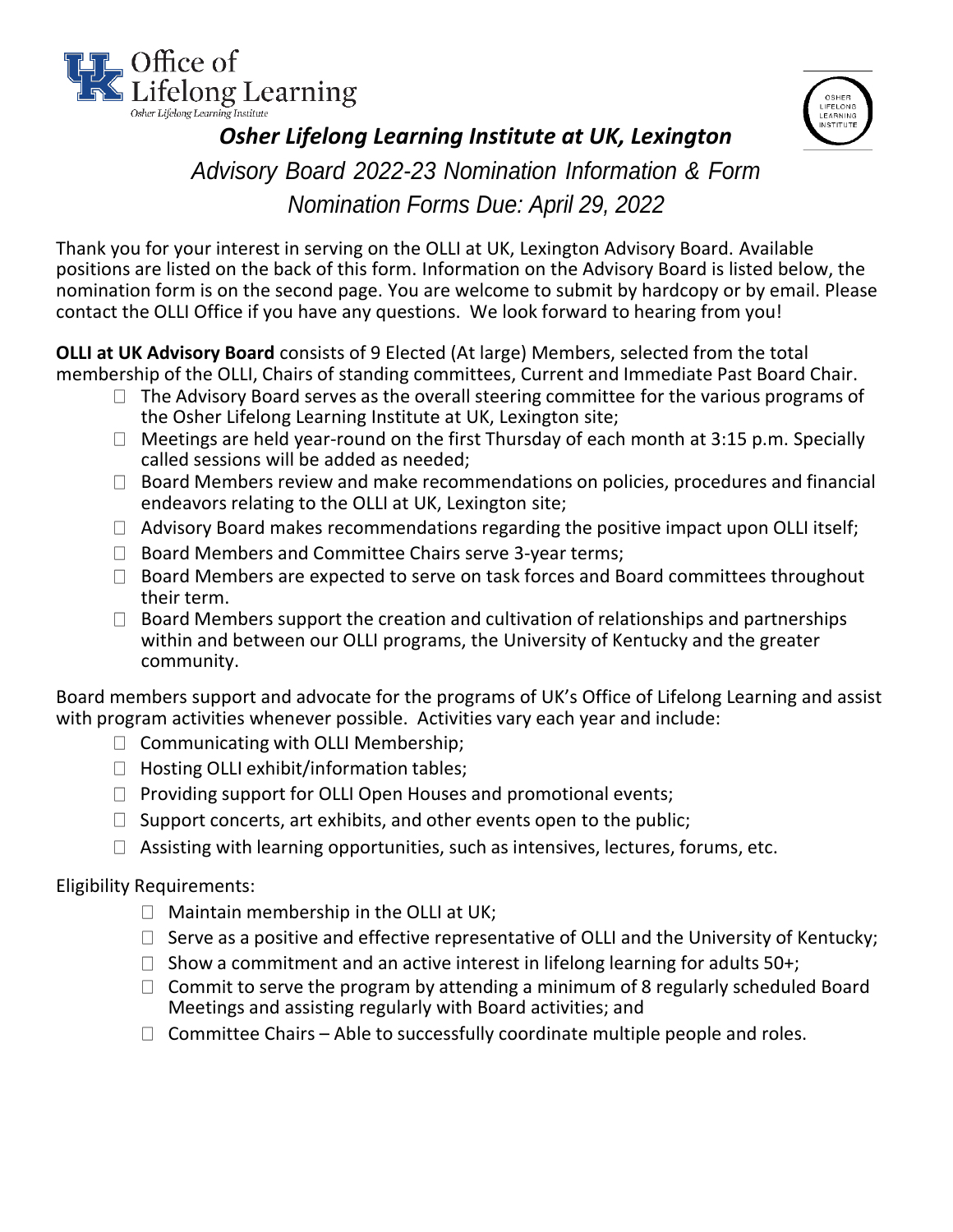



# *Osher Lifelong Learning Institute at UK, Lexington Advisory Board 2022-23 Nomination Information & Form Nomination Forms Due: April 29, 2022*

Thank you for your interest in serving on the OLLI at UK, Lexington Advisory Board. Available positions are listed on the back of this form. Information on the Advisory Board is listed below, the nomination form is on the second page. You are welcome to submit by hardcopy or by email. Please contact the OLLI Office if you have any questions. We look forward to hearing from you!

**OLLI at UK Advisory Board** consists of 9 Elected (At large) Members, selected from the total membership of the OLLI, Chairs of standing committees, Current and Immediate Past Board Chair.

- $\Box$  The Advisory Board serves as the overall steering committee for the various programs of the Osher Lifelong Learning Institute at UK, Lexington site;
- $\Box$  Meetings are held year-round on the first Thursday of each month at 3:15 p.m. Specially called sessions will be added as needed;
- $\Box$  Board Members review and make recommendations on policies, procedures and financial endeavors relating to the OLLI at UK, Lexington site;
- $\Box$  Advisory Board makes recommendations regarding the positive impact upon OLLI itself;
- $\Box$  Board Members and Committee Chairs serve 3-year terms;
- $\Box$  Board Members are expected to serve on task forces and Board committees throughout their term.
- $\Box$  Board Members support the creation and cultivation of relationships and partnerships within and between our OLLI programs, the University of Kentucky and the greater community.

Board members support and advocate for the programs of UK's Office of Lifelong Learning and assist with program activities whenever possible. Activities vary each year and include:

- $\Box$  Communicating with OLLI Membership;
- $\Box$  Hosting OLLI exhibit/information tables;
- $\Box$  Providing support for OLLI Open Houses and promotional events;
- $\Box$  Support concerts, art exhibits, and other events open to the public;
- $\Box$  Assisting with learning opportunities, such as intensives, lectures, forums, etc.

#### Eligibility Requirements:

- $\Box$  Maintain membership in the OLLI at UK;
- $\Box$  Serve as a positive and effective representative of OLLI and the University of Kentucky;
- $\Box$  Show a commitment and an active interest in lifelong learning for adults 50+;
- $\Box$  Commit to serve the program by attending a minimum of 8 regularly scheduled Board Meetings and assisting regularly with Board activities; and
- $\Box$  Committee Chairs Able to successfully coordinate multiple people and roles.